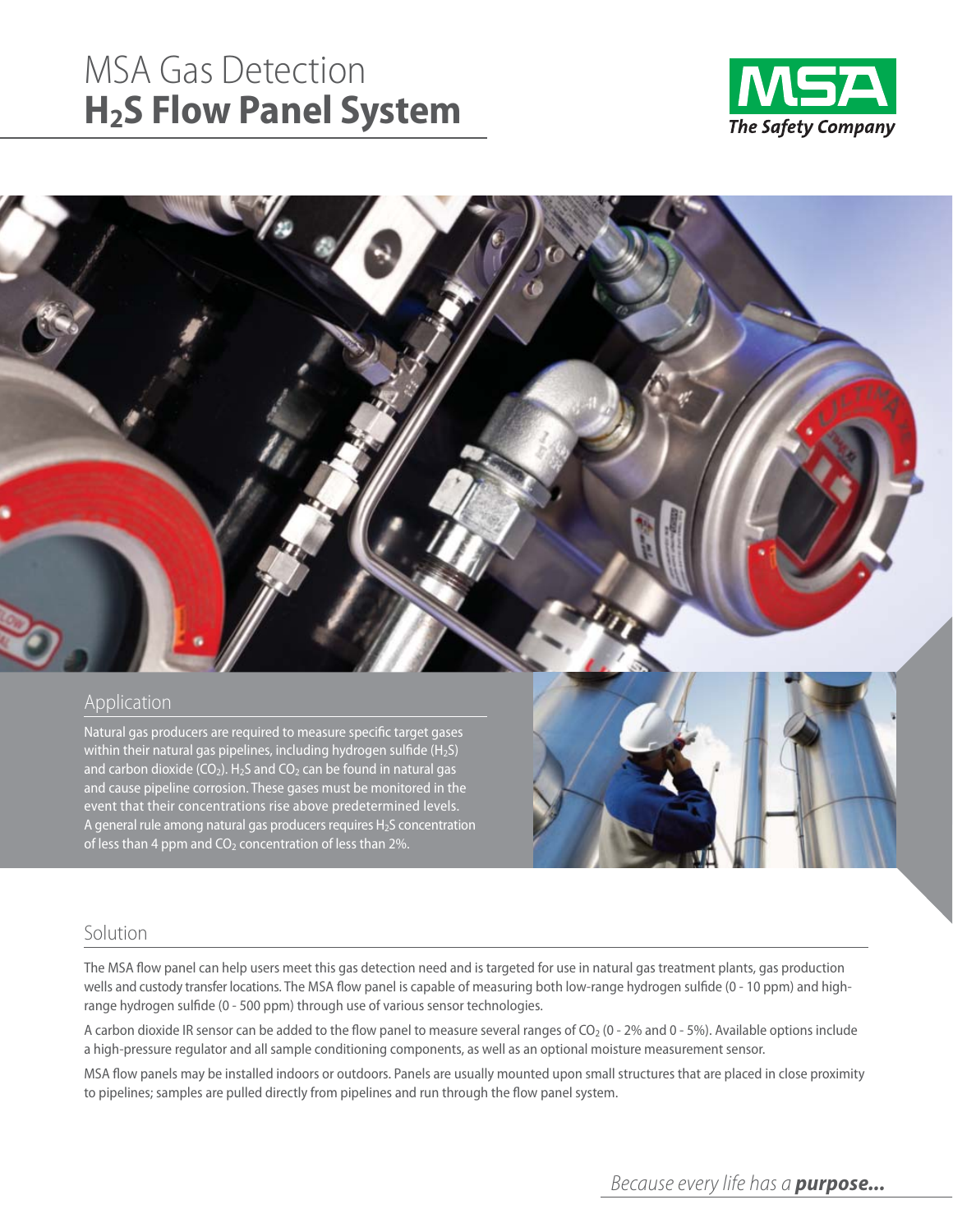# MSA Gas Detection **H2S Flow Panel System**





## Application

Natural gas producers are required to measure specific target gases within their natural gas pipelines, including hydrogen sulfide  $(H_2S)$ and carbon dioxide (CO<sub>2</sub>). H<sub>2</sub>S and CO<sub>2</sub> can be found in natural gas and cause pipeline corrosion. These gases must be monitored in the event that their concentrations rise above predetermined levels. A general rule among natural gas producers requires  $H_2S$  concentration of less than 4 ppm and  $CO<sub>2</sub>$  concentration of less than 2%.



## Solution

The MSA flow panel can help users meet this gas detection need and is targeted for use in natural gas treatment plants, gas production wells and custody transfer locations. The MSA flow panel is capable of measuring both low-range hydrogen sulfide (0 - 10 ppm) and highrange hydrogen sulfide (0 - 500 ppm) through use of various sensor technologies.

A carbon dioxide IR sensor can be added to the flow panel to measure several ranges of  $CO<sub>2</sub>$  (0 - 2% and 0 - 5%). Available options include a high-pressure regulator and all sample conditioning components, as well as an optional moisture measurement sensor.

MSA flow panels may be installed indoors or outdoors. Panels are usually mounted upon small structures that are placed in close proximity to pipelines; samples are pulled directly from pipelines and run through the flow panel system.